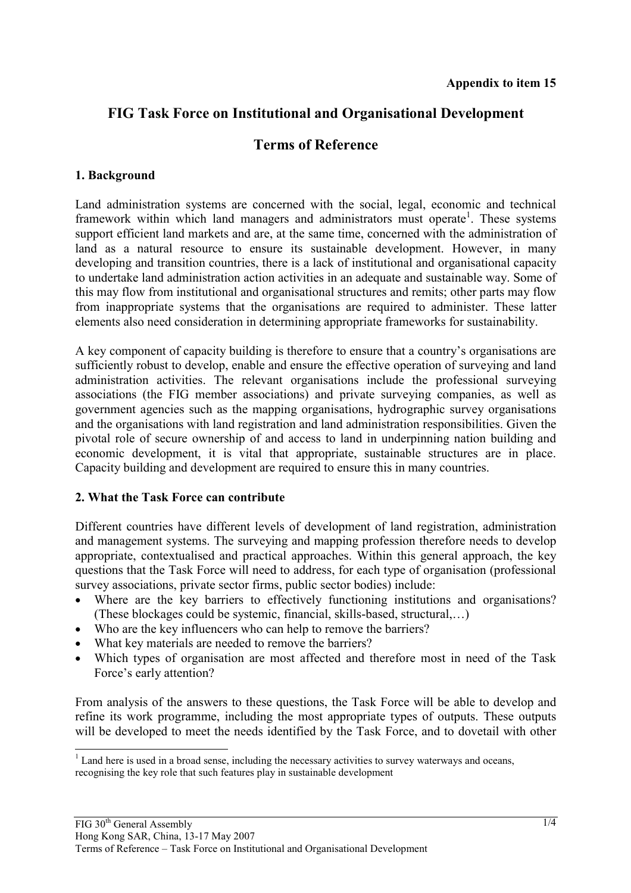# **FIG Task Force on Institutional and Organisational Development**

## **Terms of Reference**

#### **1. Background**

 $\overline{a}$ 

Land administration systems are concerned with the social, legal, economic and technical framework within which land managers and administrators must operate<sup>1</sup>. These systems support efficient land markets and are, at the same time, concerned with the administration of land as a natural resource to ensure its sustainable development. However, in many developing and transition countries, there is a lack of institutional and organisational capacity to undertake land administration action activities in an adequate and sustainable way. Some of this may flow from institutional and organisational structures and remits; other parts may flow from inappropriate systems that the organisations are required to administer. These latter elements also need consideration in determining appropriate frameworks for sustainability.

A key component of capacity building is therefore to ensure that a country's organisations are sufficiently robust to develop, enable and ensure the effective operation of surveying and land administration activities. The relevant organisations include the professional surveying associations (the FIG member associations) and private surveying companies, as well as government agencies such as the mapping organisations, hydrographic survey organisations and the organisations with land registration and land administration responsibilities. Given the pivotal role of secure ownership of and access to land in underpinning nation building and economic development, it is vital that appropriate, sustainable structures are in place. Capacity building and development are required to ensure this in many countries.

#### **2. What the Task Force can contribute**

Different countries have different levels of development of land registration, administration and management systems. The surveying and mapping profession therefore needs to develop appropriate, contextualised and practical approaches. Within this general approach, the key questions that the Task Force will need to address, for each type of organisation (professional survey associations, private sector firms, public sector bodies) include:

- Where are the key barriers to effectively functioning institutions and organisations? (These blockages could be systemic, financial, skills-based, structural,…)
- Who are the key influencers who can help to remove the barriers?
- What key materials are needed to remove the barriers?
- Which types of organisation are most affected and therefore most in need of the Task Force's early attention?

From analysis of the answers to these questions, the Task Force will be able to develop and refine its work programme, including the most appropriate types of outputs. These outputs will be developed to meet the needs identified by the Task Force, and to dovetail with other

 $<sup>1</sup>$  Land here is used in a broad sense, including the necessary activities to survey waterways and oceans,</sup> recognising the key role that such features play in sustainable development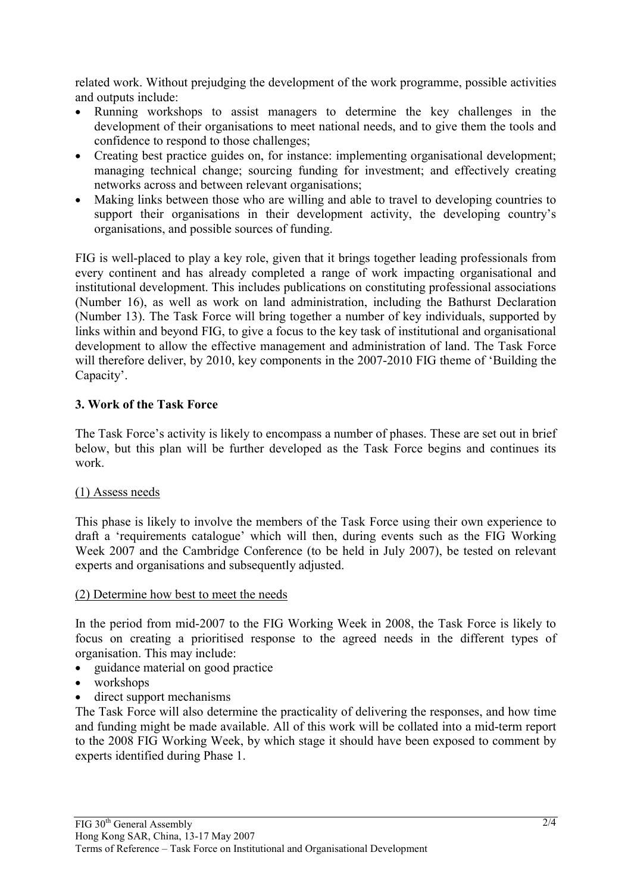related work. Without prejudging the development of the work programme, possible activities and outputs include:

- Running workshops to assist managers to determine the key challenges in the development of their organisations to meet national needs, and to give them the tools and confidence to respond to those challenges;
- Creating best practice guides on, for instance: implementing organisational development; managing technical change; sourcing funding for investment; and effectively creating networks across and between relevant organisations;
- Making links between those who are willing and able to travel to developing countries to support their organisations in their development activity, the developing country's organisations, and possible sources of funding.

FIG is well-placed to play a key role, given that it brings together leading professionals from every continent and has already completed a range of work impacting organisational and institutional development. This includes publications on constituting professional associations (Number 16), as well as work on land administration, including the Bathurst Declaration (Number 13). The Task Force will bring together a number of key individuals, supported by links within and beyond FIG, to give a focus to the key task of institutional and organisational development to allow the effective management and administration of land. The Task Force will therefore deliver, by 2010, key components in the 2007-2010 FIG theme of 'Building the Capacity'.

## **3. Work of the Task Force**

The Task Force's activity is likely to encompass a number of phases. These are set out in brief below, but this plan will be further developed as the Task Force begins and continues its work.

#### (1) Assess needs

This phase is likely to involve the members of the Task Force using their own experience to draft a 'requirements catalogue' which will then, during events such as the FIG Working Week 2007 and the Cambridge Conference (to be held in July 2007), be tested on relevant experts and organisations and subsequently adjusted.

#### (2) Determine how best to meet the needs

In the period from mid-2007 to the FIG Working Week in 2008, the Task Force is likely to focus on creating a prioritised response to the agreed needs in the different types of organisation. This may include:

- guidance material on good practice
- workshops
- direct support mechanisms

The Task Force will also determine the practicality of delivering the responses, and how time and funding might be made available. All of this work will be collated into a mid-term report to the 2008 FIG Working Week, by which stage it should have been exposed to comment by experts identified during Phase 1.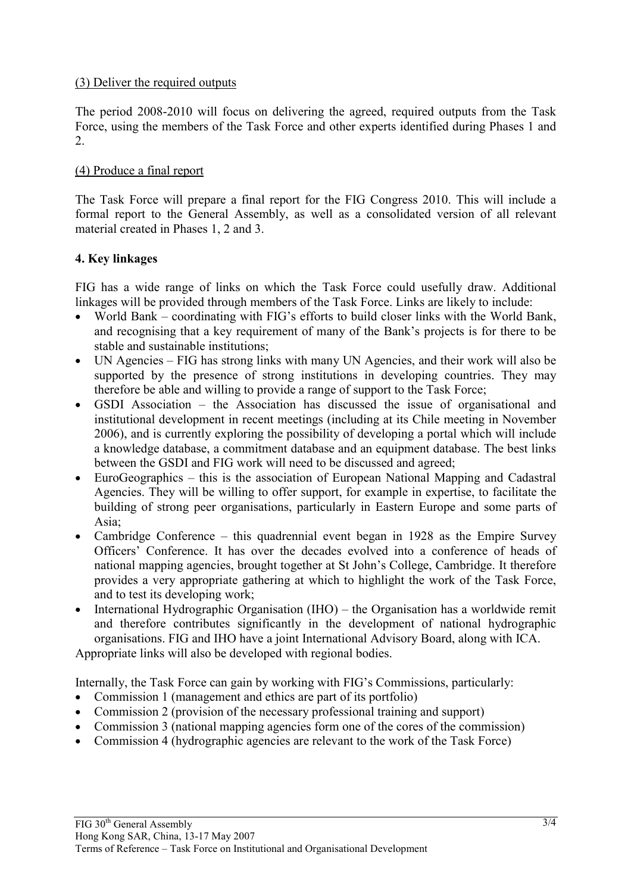## (3) Deliver the required outputs

The period 2008-2010 will focus on delivering the agreed, required outputs from the Task Force, using the members of the Task Force and other experts identified during Phases 1 and 2.

#### (4) Produce a final report

The Task Force will prepare a final report for the FIG Congress 2010. This will include a formal report to the General Assembly, as well as a consolidated version of all relevant material created in Phases 1, 2 and 3.

## **4. Key linkages**

FIG has a wide range of links on which the Task Force could usefully draw. Additional linkages will be provided through members of the Task Force. Links are likely to include:

- World Bank coordinating with FIG's efforts to build closer links with the World Bank, and recognising that a key requirement of many of the Bank's projects is for there to be stable and sustainable institutions;
- UN Agencies FIG has strong links with many UN Agencies, and their work will also be supported by the presence of strong institutions in developing countries. They may therefore be able and willing to provide a range of support to the Task Force;
- GSDI Association the Association has discussed the issue of organisational and institutional development in recent meetings (including at its Chile meeting in November 2006), and is currently exploring the possibility of developing a portal which will include a knowledge database, a commitment database and an equipment database. The best links between the GSDI and FIG work will need to be discussed and agreed;
- EuroGeographics this is the association of European National Mapping and Cadastral Agencies. They will be willing to offer support, for example in expertise, to facilitate the building of strong peer organisations, particularly in Eastern Europe and some parts of Asia;
- Cambridge Conference this quadrennial event began in 1928 as the Empire Survey Officers' Conference. It has over the decades evolved into a conference of heads of national mapping agencies, brought together at St John's College, Cambridge. It therefore provides a very appropriate gathering at which to highlight the work of the Task Force, and to test its developing work;
- International Hydrographic Organisation (IHO) the Organisation has a worldwide remit and therefore contributes significantly in the development of national hydrographic organisations. FIG and IHO have a joint International Advisory Board, along with ICA.

Appropriate links will also be developed with regional bodies.

Internally, the Task Force can gain by working with FIG's Commissions, particularly:

- Commission 1 (management and ethics are part of its portfolio)
- Commission 2 (provision of the necessary professional training and support)
- Commission 3 (national mapping agencies form one of the cores of the commission)
- Commission 4 (hydrographic agencies are relevant to the work of the Task Force)